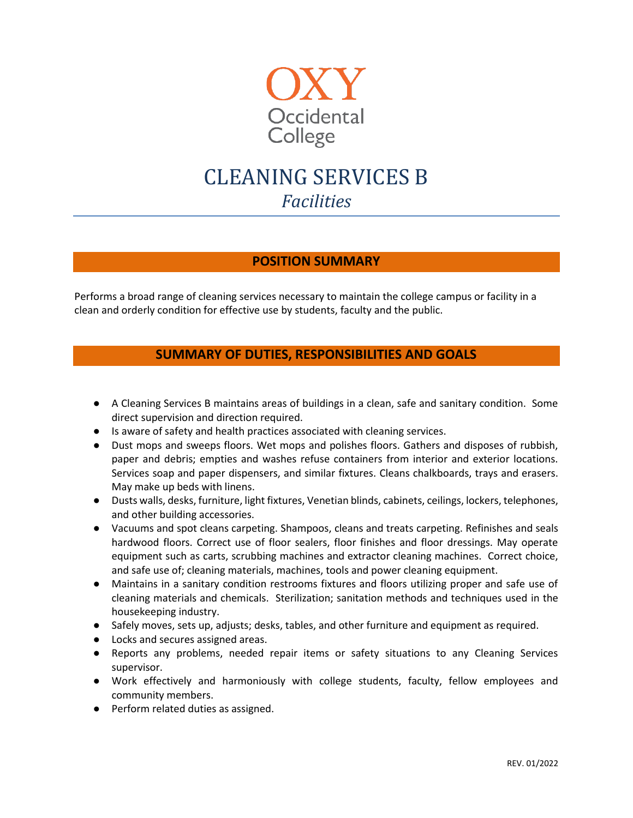

# CLEANING SERVICES B *Facilities*

## **POSITION SUMMARY**

Performs a broad range of cleaning services necessary to maintain the college campus or facility in a clean and orderly condition for effective use by students, faculty and the public.

# **SUMMARY OF DUTIES, RESPONSIBILITIES AND GOALS**

- A Cleaning Services B maintains areas of buildings in a clean, safe and sanitary condition. Some direct supervision and direction required.
- Is aware of safety and health practices associated with cleaning services.
- Dust mops and sweeps floors. Wet mops and polishes floors. Gathers and disposes of rubbish, paper and debris; empties and washes refuse containers from interior and exterior locations. Services soap and paper dispensers, and similar fixtures. Cleans chalkboards, trays and erasers. May make up beds with linens.
- Dusts walls, desks, furniture, light fixtures, Venetian blinds, cabinets, ceilings, lockers, telephones, and other building accessories.
- Vacuums and spot cleans carpeting. Shampoos, cleans and treats carpeting. Refinishes and seals hardwood floors. Correct use of floor sealers, floor finishes and floor dressings. May operate equipment such as carts, scrubbing machines and extractor cleaning machines. Correct choice, and safe use of; cleaning materials, machines, tools and power cleaning equipment.
- Maintains in a sanitary condition restrooms fixtures and floors utilizing proper and safe use of cleaning materials and chemicals. Sterilization; sanitation methods and techniques used in the housekeeping industry.
- Safely moves, sets up, adjusts; desks, tables, and other furniture and equipment as required.
- Locks and secures assigned areas.
- Reports any problems, needed repair items or safety situations to any Cleaning Services supervisor.
- Work effectively and harmoniously with college students, faculty, fellow employees and community members.
- Perform related duties as assigned.